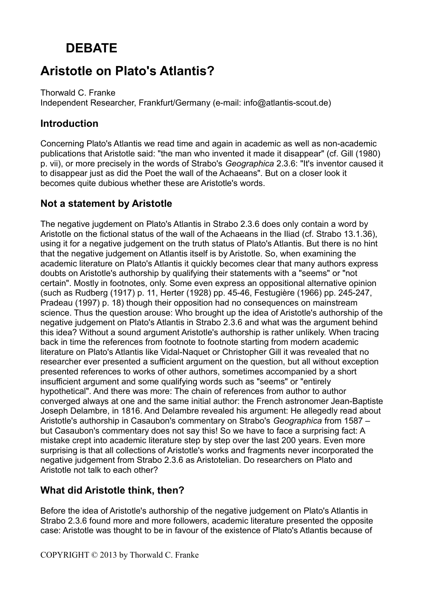# **DEBATE**

# **Aristotle on Plato's Atlantis?**

Thorwald C. Franke Independent Researcher, Frankfurt/Germany (e-mail: info@atlantis-scout.de)

#### **Introduction**

Concerning Plato's Atlantis we read time and again in academic as well as non-academic publications that Aristotle said: "the man who invented it made it disappear" (cf. Gill (1980) p. vii), or more precisely in the words of Strabo's *Geographica* 2.3.6: "It's inventor caused it to disappear just as did the Poet the wall of the Achaeans". But on a closer look it becomes quite dubious whether these are Aristotle's words.

### **Not a statement by Aristotle**

The negative jugdement on Plato's Atlantis in Strabo 2.3.6 does only contain a word by Aristotle on the fictional status of the wall of the Achaeans in the Iliad (cf. Strabo 13.1.36), using it for a negative judgement on the truth status of Plato's Atlantis. But there is no hint that the negative judgement on Atlantis itself is by Aristotle. So, when examining the academic literature on Plato's Atlantis it quickly becomes clear that many authors express doubts on Aristotle's authorship by qualifying their statements with a "seems" or "not certain". Mostly in footnotes, only. Some even express an oppositional alternative opinion (such as Rudberg (1917) p. 11, Herter (1928) pp. 45-46, Festugière (1966) pp. 245-247, Pradeau (1997) p. 18) though their opposition had no consequences on mainstream science. Thus the question arouse: Who brought up the idea of Aristotle's authorship of the negative judgement on Plato's Atlantis in Strabo 2.3.6 and what was the argument behind this idea? Without a sound argument Aristotle's authorship is rather unlikely. When tracing back in time the references from footnote to footnote starting from modern academic literature on Plato's Atlantis like Vidal-Naquet or Christopher Gill it was revealed that no researcher ever presented a sufficient argument on the question, but all without exception presented references to works of other authors, sometimes accompanied by a short insufficient argument and some qualifying words such as "seems" or "entirely hypothetical". And there was more: The chain of references from author to author converged always at one and the same initial author: the French astronomer Jean-Baptiste Joseph Delambre, in 1816. And Delambre revealed his argument: He allegedly read about Aristotle's authorship in Casaubon's commentary on Strabo's *Geographica* from 1587 – but Casaubon's commentary does not say this! So we have to face a surprising fact: A mistake crept into academic literature step by step over the last 200 years. Even more surprising is that all collections of Aristotle's works and fragments never incorporated the negative judgement from Strabo 2.3.6 as Aristotelian. Do researchers on Plato and Aristotle not talk to each other?

### **What did Aristotle think, then?**

Before the idea of Aristotle's authorship of the negative judgement on Plato's Atlantis in Strabo 2.3.6 found more and more followers, academic literature presented the opposite case: Aristotle was thought to be in favour of the existence of Plato's Atlantis because of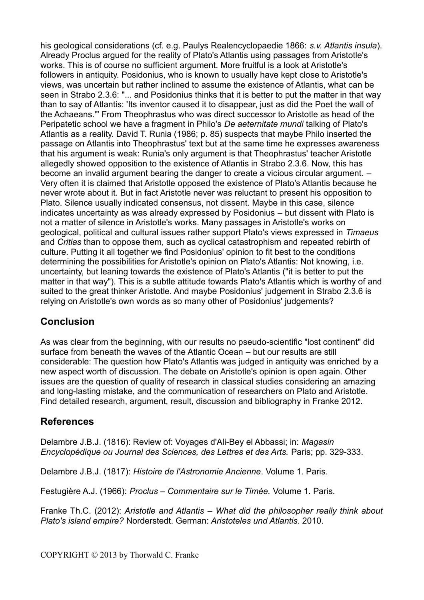his geological considerations (cf. e.g. Paulys Realencyclopaedie 1866: *s.v. Atlantis insula*). Already Proclus argued for the reality of Plato's Atlantis using passages from Aristotle's works. This is of course no sufficient argument. More fruitful is a look at Aristotle's followers in antiquity. Posidonius, who is known to usually have kept close to Aristotle's views, was uncertain but rather inclined to assume the existence of Atlantis, what can be seen in Strabo 2.3.6: "... and Posidonius thinks that it is better to put the matter in that way than to say of Atlantis: 'Its inventor caused it to disappear, just as did the Poet the wall of the Achaeans.'" From Theophrastus who was direct successor to Aristotle as head of the Peripatetic school we have a fragment in Philo's *De aeternitate mundi* talking of Plato's Atlantis as a reality. David T. Runia (1986; p. 85) suspects that maybe Philo inserted the passage on Atlantis into Theophrastus' text but at the same time he expresses awareness that his argument is weak: Runia's only argument is that Theophrastus' teacher Aristotle allegedly showed opposition to the existence of Atlantis in Strabo 2.3.6. Now, this has become an invalid argument bearing the danger to create a vicious circular argument. – Very often it is claimed that Aristotle opposed the existence of Plato's Atlantis because he never wrote about it. But in fact Aristotle never was reluctant to present his opposition to Plato. Silence usually indicated consensus, not dissent. Maybe in this case, silence indicates uncertainty as was already expressed by Posidonius – but dissent with Plato is not a matter of silence in Aristotle's works. Many passages in Aristotle's works on geological, political and cultural issues rather support Plato's views expressed in *Timaeus* and *Critias* than to oppose them, such as cyclical catastrophism and repeated rebirth of culture. Putting it all together we find Posidonius' opinion to fit best to the conditions determining the possibilities for Aristotle's opinion on Plato's Atlantis: Not knowing, i.e. uncertainty, but leaning towards the existence of Plato's Atlantis ("it is better to put the matter in that way"). This is a subtle attitude towards Plato's Atlantis which is worthy of and suited to the great thinker Aristotle. And maybe Posidonius' judgement in Strabo 2.3.6 is relying on Aristotle's own words as so many other of Posidonius' judgements?

#### **Conclusion**

As was clear from the beginning, with our results no pseudo-scientific "lost continent" did surface from beneath the waves of the Atlantic Ocean – but our results are still considerable: The question how Plato's Atlantis was judged in antiquity was enriched by a new aspect worth of discussion. The debate on Aristotle's opinion is open again. Other issues are the question of quality of research in classical studies considering an amazing and long-lasting mistake, and the communication of researchers on Plato and Aristotle. Find detailed research, argument, result, discussion and bibliography in Franke 2012.

### **References**

Delambre J.B.J. (1816): Review of: Voyages d'Ali-Bey el Abbassi; in: *Magasin Encyclopédique ou Journal des Sciences, des Lettres et des Arts.* Paris; pp. 329-333.

Delambre J.B.J. (1817): *Histoire de l'Astronomie Ancienne*. Volume 1. Paris.

Festugière A.J. (1966): *Proclus – Commentaire sur le Timée.* Volume 1. Paris.

Franke Th.C. (2012): *Aristotle and Atlantis – What did the philosopher really think about Plato's island empire?* Norderstedt. German: *Aristoteles und Atlantis*. 2010.